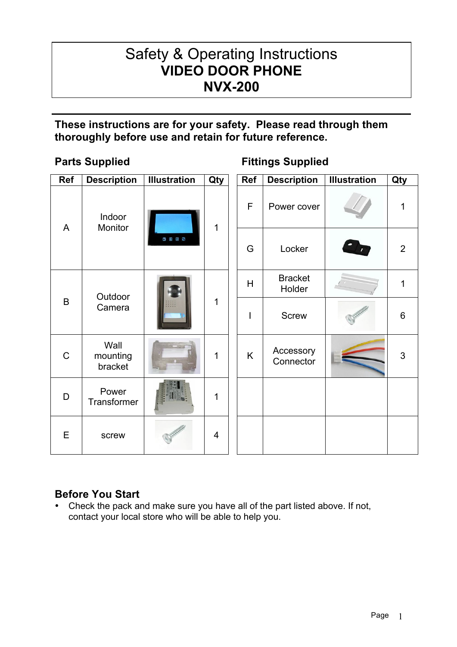# Safety & Operating Instructions **VIDEO DOOR PHONE NVX-200**

# **These instructions are for your safety. Please read through them thoroughly before use and retain for future reference.**

 $\overline{a}$ 

| <b>Ref</b>  | <b>Description</b>          | <b>Illustration</b>                                    | Qty          | Ref | <b>Description</b>       | <b>Illustration</b> | Qty            |
|-------------|-----------------------------|--------------------------------------------------------|--------------|-----|--------------------------|---------------------|----------------|
| A           | Indoor<br>Monitor           | $\begin{array}{c} \circ \\ \circ \\ \circ \end{array}$ | $\mathbf{1}$ | F   | Power cover              |                     | $\mathbf{1}$   |
|             |                             |                                                        |              | G   | Locker                   |                     | $\overline{2}$ |
| B           | Outdoor<br>Camera           |                                                        | 1            | H   | <b>Bracket</b><br>Holder |                     | $\mathbf{1}$   |
|             |                             |                                                        |              | I   | <b>Screw</b>             |                     | $\,6$          |
| $\mathsf C$ | Wall<br>mounting<br>bracket |                                                        | 1            | K   | Accessory<br>Connector   |                     | $\mathfrak{S}$ |
| D           | Power<br>Transformer        |                                                        | 1            |     |                          |                     |                |
| E           | screw                       |                                                        | 4            |     |                          |                     |                |

# **Parts Supplied Fittings Supplied**

# **Before You Start**

• Check the pack and make sure you have all of the part listed above. If not, contact your local store who will be able to help you.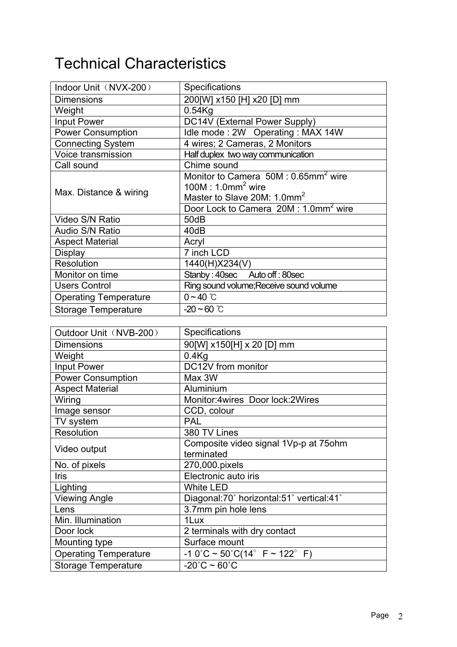# Technical Characteristics

| Indoor Unit (NVX-200)        | <b>Specifications</b>                            |  |  |
|------------------------------|--------------------------------------------------|--|--|
| <b>Dimensions</b>            | 200[W] x150 [H] x20 [D] mm                       |  |  |
| Weight                       | $0.54$ Kg                                        |  |  |
| <b>Input Power</b>           | DC14V (External Power Supply)                    |  |  |
| <b>Power Consumption</b>     | Idle mode: 2W Operating: MAX 14W                 |  |  |
| <b>Connecting System</b>     | 4 wires; 2 Cameras, 2 Monitors                   |  |  |
| Voice transmission           | Half duplex two way communication                |  |  |
| Call sound                   | Chime sound                                      |  |  |
|                              | Monitor to Camera 50M : 0.65mm <sup>2</sup> wire |  |  |
| Max. Distance & wiring       | $100M : 1.0mm2$ wire                             |  |  |
|                              | Master to Slave 20M: 1.0mm <sup>2</sup>          |  |  |
|                              | Door Lock to Camera 20M: 1.0mm <sup>2</sup> wire |  |  |
| Video S/N Ratio              | 50dB                                             |  |  |
| Audio S/N Ratio              | 40dB                                             |  |  |
| <b>Aspect Material</b>       | Acryl                                            |  |  |
| <b>Display</b>               | 7 inch LCD                                       |  |  |
| Resolution                   | 1440(H)X234(V)                                   |  |  |
| Monitor on time              | Stanby: 40sec Auto off: 80sec                    |  |  |
| <b>Users Control</b>         | Ring sound volume; Receive sound volume          |  |  |
| <b>Operating Temperature</b> | $0 - 40$ °C                                      |  |  |
| Storage Temperature          | $-20 \sim 60$ °C                                 |  |  |

| Outdoor Unit (NVB-200)       | Specifications                                                        |
|------------------------------|-----------------------------------------------------------------------|
| <b>Dimensions</b>            | 90[W] x150[H] x 20 [D] mm                                             |
| Weight                       | $0.4$ Kg                                                              |
| Input Power                  | DC12V from monitor                                                    |
| <b>Power Consumption</b>     | Max 3W                                                                |
| <b>Aspect Material</b>       | Aluminium                                                             |
| Wiring                       | Monitor: 4 wires Door lock: 2 Wires                                   |
| Image sensor                 | CCD, colour                                                           |
| TV system                    | <b>PAL</b>                                                            |
| Resolution                   | 380 TV Lines                                                          |
| Video output                 | Composite video signal 1Vp-p at 75ohm                                 |
|                              | terminated                                                            |
| No. of pixels                | 270,000.pixels                                                        |
| Iris                         | Electronic auto iris                                                  |
| Lighting                     | <b>White LED</b>                                                      |
| <b>Viewing Angle</b>         | Diagonal:70° horizontal:51° vertical:41°                              |
| Lens                         | 3.7mm pin hole lens                                                   |
| Min. Illumination            | 1Lux                                                                  |
| Door lock                    | 2 terminals with dry contact                                          |
| Mounting type                | Surface mount                                                         |
| <b>Operating Temperature</b> | $-10^{\circ}$ C ~ 50 $^{\circ}$ C(14 $^{\circ}$ F ~ 122 $^{\circ}$ F) |
| Storage Temperature          | $-20^{\circ}$ C ~ 60 $^{\circ}$ C                                     |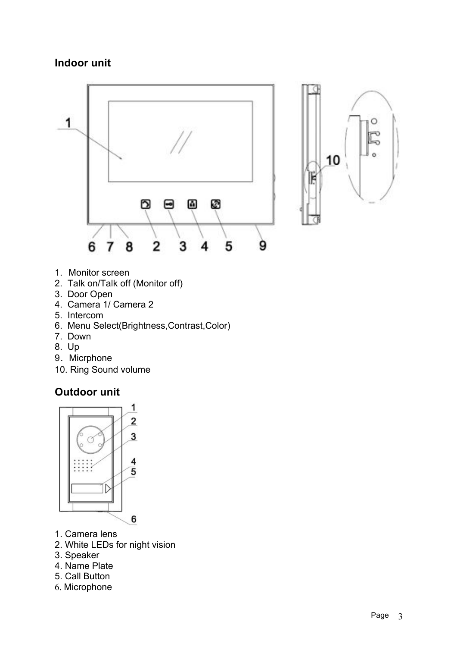# **Indoor unit**





- 1. Monitor screen
- 2. Talk on/Talk off (Monitor off)
- 3. Door Open
- 4. Camera 1/ Camera 2
- 5. Intercom
- 6. Menu Select(Brightness,Contrast,Color)
- 7. Down
- 8. Up
- 9. Micrphone
- 10. Ring Sound volume

# **Outdoor unit**



- 1. Camera lens
- 2. White LEDs for night vision
- 3. Speaker
- 4. Name Plate
- 5. Call Button
- 6. Microphone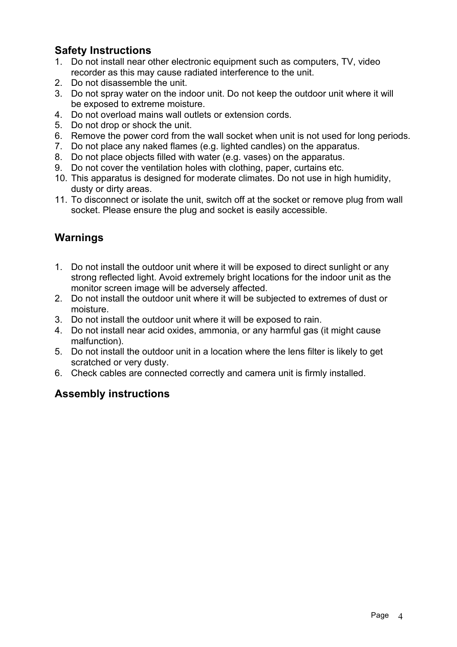# **Safety Instructions**

- 1. Do not install near other electronic equipment such as computers, TV, video recorder as this may cause radiated interference to the unit.
- 2. Do not disassemble the unit.
- 3. Do not spray water on the indoor unit. Do not keep the outdoor unit where it will be exposed to extreme moisture.
- 4. Do not overload mains wall outlets or extension cords.
- 5. Do not drop or shock the unit.
- 6. Remove the power cord from the wall socket when unit is not used for long periods.
- 7. Do not place any naked flames (e.g. lighted candles) on the apparatus.
- 8. Do not place objects filled with water (e.g. vases) on the apparatus.
- 9. Do not cover the ventilation holes with clothing, paper, curtains etc.
- 10. This apparatus is designed for moderate climates. Do not use in high humidity, dusty or dirty areas.
- 11. To disconnect or isolate the unit, switch off at the socket or remove plug from wall socket. Please ensure the plug and socket is easily accessible.

# **Warnings**

- 1. Do not install the outdoor unit where it will be exposed to direct sunlight or any strong reflected light. Avoid extremely bright locations for the indoor unit as the monitor screen image will be adversely affected.
- 2. Do not install the outdoor unit where it will be subjected to extremes of dust or moisture.
- 3. Do not install the outdoor unit where it will be exposed to rain.
- 4. Do not install near acid oxides, ammonia, or any harmful gas (it might cause malfunction).
- 5. Do not install the outdoor unit in a location where the lens filter is likely to get scratched or very dusty.
- 6. Check cables are connected correctly and camera unit is firmly installed.

# **Assembly instructions**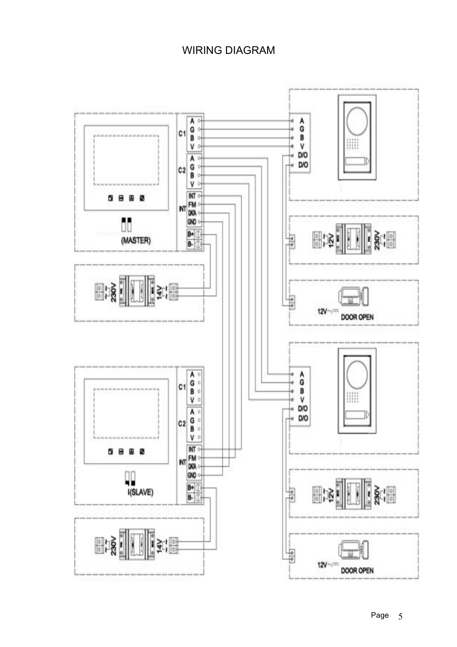# WIRING DIAGRAM

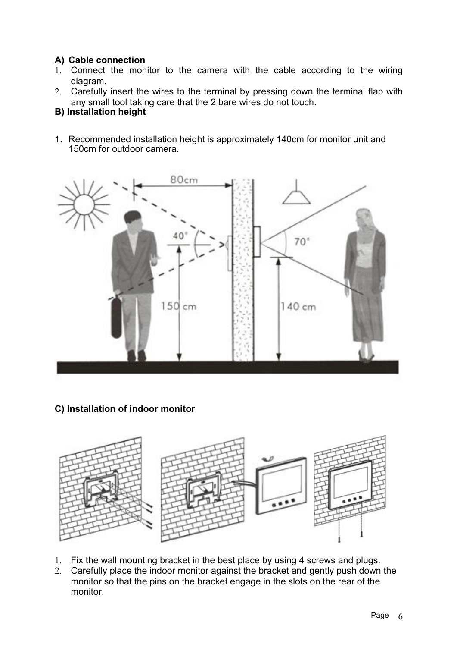### **A) Cable connection**

- 1. Connect the monitor to the camera with the cable according to the wiring diagram.
- 2. Carefully insert the wires to the terminal by pressing down the terminal flap with any small tool taking care that the 2 bare wires do not touch.

#### **B) Installation height**

1. Recommended installation height is approximately 140cm for monitor unit and 150cm for outdoor camera.



### **C) Installation of indoor monitor**



- 1. Fix the wall mounting bracket in the best place by using 4 screws and plugs.
- 2. Carefully place the indoor monitor against the bracket and gently push down the monitor so that the pins on the bracket engage in the slots on the rear of the monitor.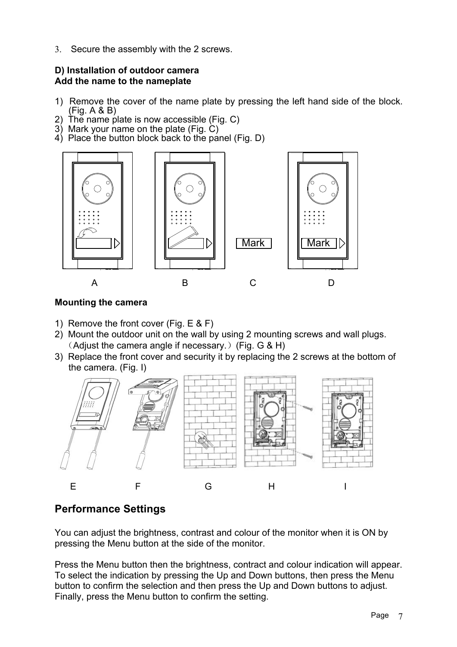3. Secure the assembly with the 2 screws.

#### **D) Installation of outdoor camera Add the name to the nameplate**

- 1) Remove the cover of the name plate by pressing the left hand side of the block. (Fig. A & B)
- 2) The name plate is now accessible (Fig. C)
- 3) Mark your name on the plate (Fig. C)
- 4) Place the button block back to the panel (Fig. D)



#### **Mounting the camera**

- 1) Remove the front cover (Fig. E & F)
- 2) Mount the outdoor unit on the wall by using 2 mounting screws and wall plugs. (Adjust the camera angle if necessary.) (Fig. G & H)
- 3) Replace the front cover and security it by replacing the 2 screws at the bottom of the camera. (Fig. I)



# **Performance Settings**

You can adjust the brightness, contrast and colour of the monitor when it is ON by pressing the Menu button at the side of the monitor.

Press the Menu button then the brightness, contract and colour indication will appear. To select the indication by pressing the Up and Down buttons, then press the Menu button to confirm the selection and then press the Up and Down buttons to adjust. Finally, press the Menu button to confirm the setting.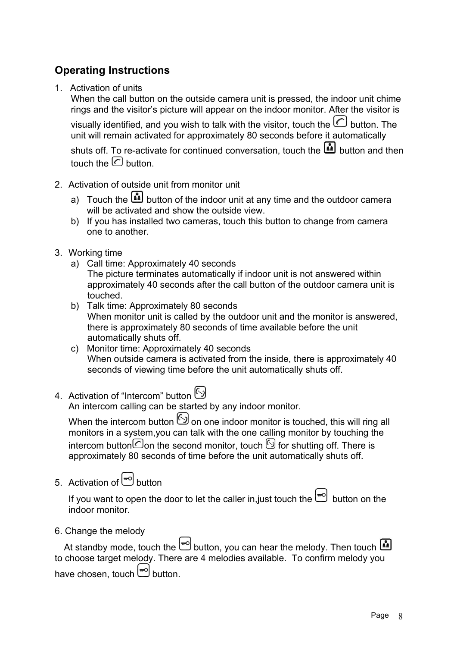# **Operating Instructions**

1. Activation of units

When the call button on the outside camera unit is pressed, the indoor unit chime rings and the visitor's picture will appear on the indoor monitor. After the visitor is

visually identified, and you wish to talk with the visitor, touch the  $\boxed{\subset}$  button. The unit will remain activated for approximately 80 seconds before it automatically

shuts off. To re-activate for continued conversation, touch the **button and then** touch the  $\odot$  button.

- 2. Activation of outside unit from monitor unit
	- a) Touch the **button of the indoor unit at any time and the outdoor camera** will be activated and show the outside view.
	- b) If you has installed two cameras, touch this button to change from camera one to another.
- 3. Working time
	- a) Call time: Approximately 40 seconds The picture terminates automatically if indoor unit is not answered within approximately 40 seconds after the call button of the outdoor camera unit is touched.
	- b) Talk time: Approximately 80 seconds When monitor unit is called by the outdoor unit and the monitor is answered, there is approximately 80 seconds of time available before the unit automatically shuts off.
	- c) Monitor time: Approximately 40 seconds When outside camera is activated from the inside, there is approximately 40 seconds of viewing time before the unit automatically shuts off.
- 4. Activation of "Intercom" button (3)

An intercom calling can be started by any indoor monitor.

When the intercom button  $\bigcirc$  on one indoor monitor is touched, this will ring all monitors in a system,you can talk with the one calling monitor by touching the intercom button  $\mathbb G$  on the second monitor, touch  $\mathbb G$  for shutting off. There is approximately 80 seconds of time before the unit automatically shuts off.

5. Activation of  $\Box$  button

If you want to open the door to let the caller in, just touch the  $\leftarrow \hspace{-3.5mm} \blacksquare$  button on the indoor monitor.

6. Change the melody

At standby mode, touch the  $\left[\frac{m}{n}\right]$  button, you can hear the melody. Then touch  $\blacksquare$ to choose target melody. There are 4 melodies available. To confirm melody you have chosen, touch  $\Box$  button.